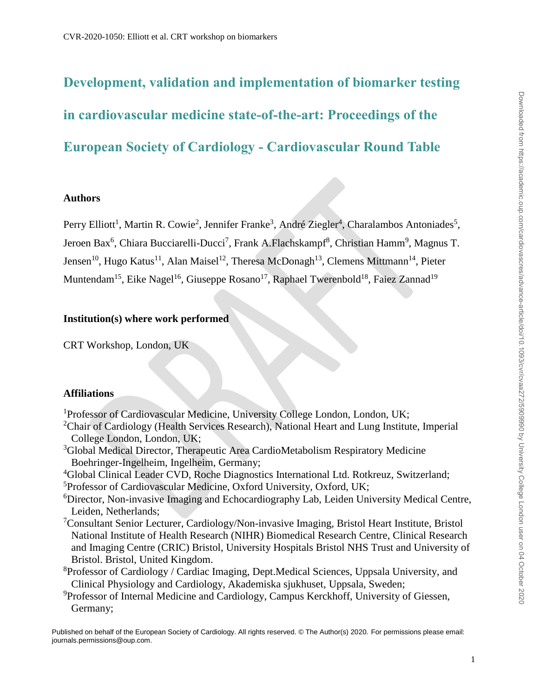# **Development, validation and implementation of biomarker testing in cardiovascular medicine state-of-the-art: Proceedings of the European Society of Cardiology - Cardiovascular Round Table**

## **Authors**

Perry Elliott<sup>1</sup>, Martin R. Cowie<sup>2</sup>, Jennifer Franke<sup>3</sup>, André Ziegler<sup>4</sup>, Charalambos Antoniades<sup>5</sup>, Jeroen Bax<sup>6</sup>, Chiara Bucciarelli-Ducci<sup>7</sup>, Frank A.Flachskampf<sup>8</sup>, Christian Hamm<sup>9</sup>, Magnus T. Jensen<sup>10</sup>, Hugo Katus<sup>11</sup>, Alan Maisel<sup>12</sup>, Theresa McDonagh<sup>13</sup>, Clemens Mittmann<sup>14</sup>, Pieter Muntendam<sup>15</sup>, Eike Nagel<sup>16</sup>, Giuseppe Rosano<sup>17</sup>, Raphael Twerenbold<sup>18</sup>, Faiez Zannad<sup>19</sup>

# **Institution(s) where work performed**

CRT Workshop, London, UK

## **Affiliations**

<sup>1</sup>Professor of Cardiovascular Medicine, University College London, London, UK;

- <sup>2</sup>Chair of Cardiology (Health Services Research), National Heart and Lung Institute, Imperial College London, London, UK;
- <sup>3</sup>Global Medical Director, Therapeutic Area CardioMetabolism Respiratory Medicine Boehringer-Ingelheim, Ingelheim, Germany;
- <sup>4</sup>Global Clinical Leader CVD, Roche Diagnostics International Ltd. Rotkreuz, Switzerland;

<sup>5</sup>Professor of Cardiovascular Medicine, Oxford University, Oxford, UK;

- <sup>6</sup>Director, Non-invasive Imaging and Echocardiography Lab, Leiden University Medical Centre, Leiden, Netherlands;
- <sup>7</sup>Consultant Senior Lecturer, Cardiology/Non-invasive Imaging, Bristol Heart Institute, Bristol National Institute of Health Research (NIHR) Biomedical Research Centre, Clinical Research and Imaging Centre (CRIC) Bristol, University Hospitals Bristol NHS Trust and University of Bristol. Bristol, United Kingdom.
- <sup>8</sup>Professor of Cardiology / Cardiac Imaging, Dept.Medical Sciences, Uppsala University, and Clinical Physiology and Cardiology, Akademiska sjukhuset, Uppsala, Sweden;
- <sup>9</sup>Professor of Internal Medicine and Cardiology, Campus Kerckhoff, University of Giessen, Germany;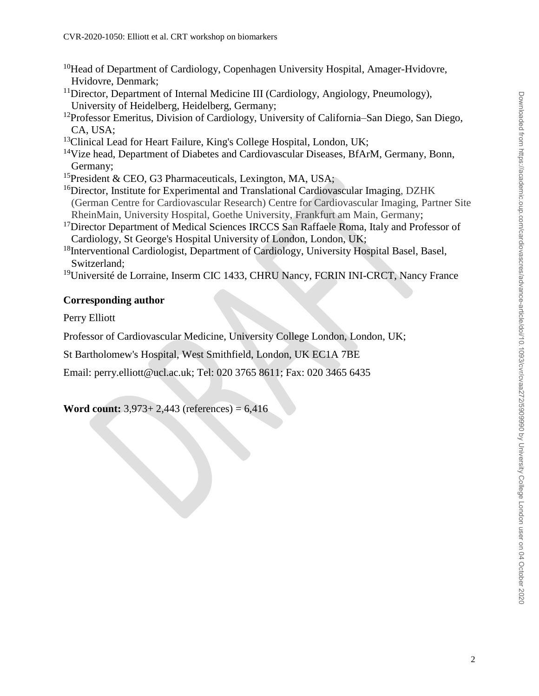- <sup>10</sup>Head of Department of Cardiology, Copenhagen University Hospital, Amager-Hvidovre, Hvidovre, Denmark;
- <sup>11</sup>Director, Department of Internal Medicine III (Cardiology, Angiology, Pneumology), University of Heidelberg, Heidelberg, Germany;
- <sup>12</sup>Professor Emeritus, Division of Cardiology, University of California–San Diego, San Diego, CA, USA;
- $13$ Clinical Lead for Heart Failure, King's College Hospital, London, UK;
- <sup>14</sup>Vize head, Department of Diabetes and Cardiovascular Diseases, BfArM, Germany, Bonn, Germany;
- <sup>15</sup>President & CEO, G3 Pharmaceuticals, Lexington, MA, USA;
- <sup>16</sup>Director, Institute for Experimental and Translational Cardiovascular Imaging, DZHK (German Centre for Cardiovascular Research) Centre for Cardiovascular Imaging, Partner Site RheinMain, University Hospital, Goethe University, Frankfurt am Main, Germany;
- <sup>17</sup>Director Department of Medical Sciences IRCCS San Raffaele Roma, Italy and Professor of Cardiology, St George's Hospital University of London, London, UK;
- <sup>18</sup>Interventional Cardiologist, Department of Cardiology, University Hospital Basel, Basel, Switzerland;
- <sup>19</sup>Université de Lorraine, Inserm CIC 1433, CHRU Nancy, FCRIN INI-CRCT, Nancy France

# **Corresponding author**

Perry Elliott

Professor of Cardiovascular Medicine, University College London, London, UK;

St Bartholomew's Hospital, West Smithfield, London, UK EC1A 7BE

Email: perry.elliott@ucl.ac.uk; Tel: 020 3765 8611; Fax: 020 3465 6435

**Word count:** 3,973+ 2,443 (references) = 6,416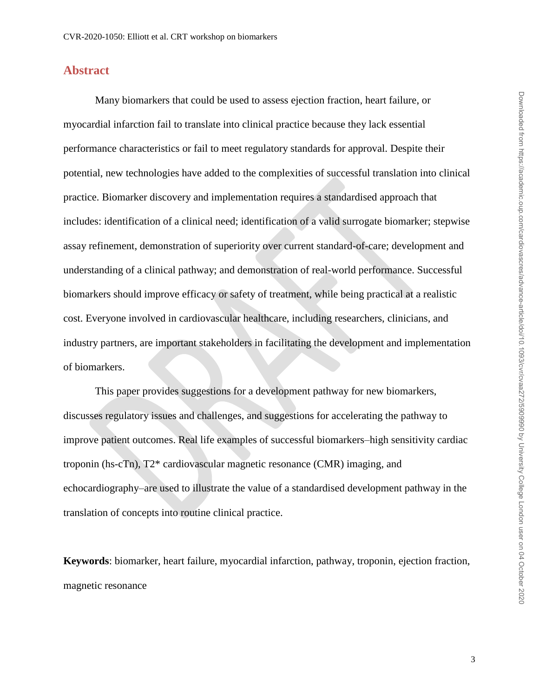# **Abstract**

Many biomarkers that could be used to assess ejection fraction, heart failure, or myocardial infarction fail to translate into clinical practice because they lack essential performance characteristics or fail to meet regulatory standards for approval. Despite their potential, new technologies have added to the complexities of successful translation into clinical practice. Biomarker discovery and implementation requires a standardised approach that includes: identification of a clinical need; identification of a valid surrogate biomarker; stepwise assay refinement, demonstration of superiority over current standard-of-care; development and understanding of a clinical pathway; and demonstration of real-world performance. Successful biomarkers should improve efficacy or safety of treatment, while being practical at a realistic cost. Everyone involved in cardiovascular healthcare, including researchers, clinicians, and industry partners, are important stakeholders in facilitating the development and implementation of biomarkers.

This paper provides suggestions for a development pathway for new biomarkers, discusses regulatory issues and challenges, and suggestions for accelerating the pathway to improve patient outcomes. Real life examples of successful biomarkers–high sensitivity cardiac troponin (hs-cTn), T2\* cardiovascular magnetic resonance (CMR) imaging, and echocardiography–are used to illustrate the value of a standardised development pathway in the translation of concepts into routine clinical practice.

**Keywords**: biomarker, heart failure, myocardial infarction, pathway, troponin, ejection fraction, magnetic resonance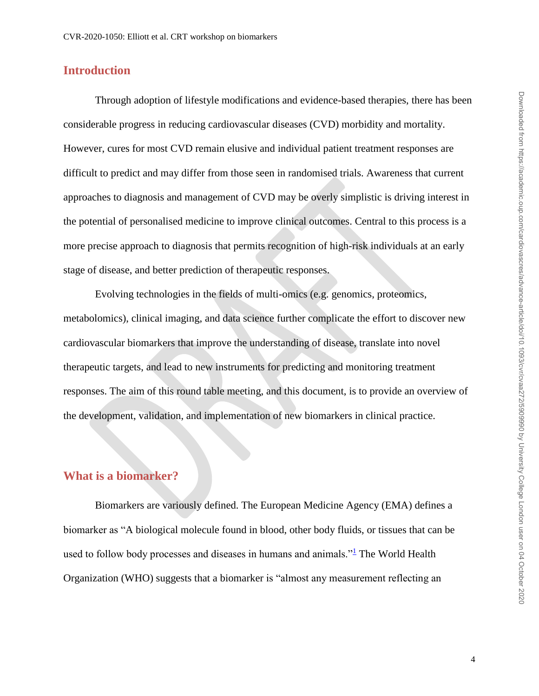# **Introduction**

Through adoption of lifestyle modifications and evidence-based therapies, there has been considerable progress in reducing cardiovascular diseases (CVD) morbidity and mortality. However, cures for most CVD remain elusive and individual patient treatment responses are difficult to predict and may differ from those seen in randomised trials. Awareness that current approaches to diagnosis and management of CVD may be overly simplistic is driving interest in the potential of personalised medicine to improve clinical outcomes. Central to this process is a more precise approach to diagnosis that permits recognition of high-risk individuals at an early stage of disease, and better prediction of therapeutic responses.

Evolving technologies in the fields of multi-omics (e.g. genomics, proteomics, metabolomics), clinical imaging, and data science further complicate the effort to discover new cardiovascular biomarkers that improve the understanding of disease, translate into novel therapeutic targets, and lead to new instruments for predicting and monitoring treatment responses. The aim of this round table meeting, and this document, is to provide an overview of the development, validation, and implementation of new biomarkers in clinical practice.

# **What is a biomarker?**

Biomarkers are variously defined. The European Medicine Agency (EMA) defines a biomarker as "A biological molecule found in blood, other body fluids, or tissues that can be used to follow body processes and diseases in humans and animals." $\frac{1}{1}$  $\frac{1}{1}$  $\frac{1}{1}$  The World Health Organization (WHO) suggests that a biomarker is "almost any measurement reflecting an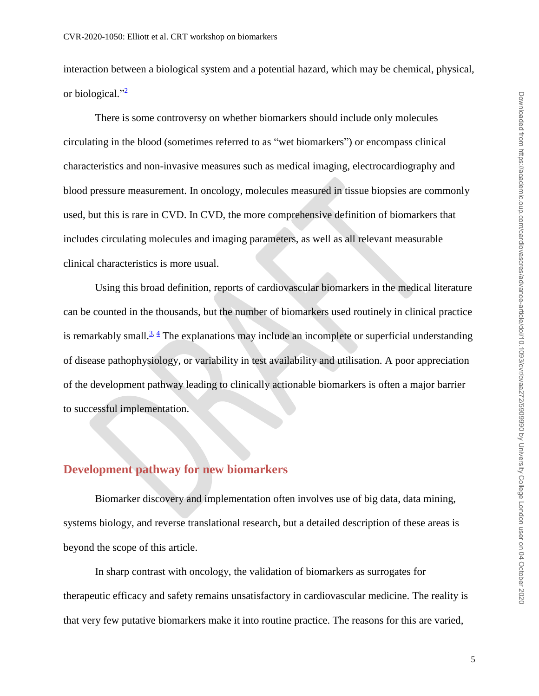interaction between a biological system and a potential hazard, which may be chemical, physical, or biological."<sup>[2](#page-19-1)</sup>

There is some controversy on whether biomarkers should include only molecules circulating in the blood (sometimes referred to as "wet biomarkers") or encompass clinical characteristics and non-invasive measures such as medical imaging, electrocardiography and blood pressure measurement. In oncology, molecules measured in tissue biopsies are commonly used, but this is rare in CVD. In CVD, the more comprehensive definition of biomarkers that includes circulating molecules and imaging parameters, as well as all relevant measurable clinical characteristics is more usual.

Using this broad definition, reports of cardiovascular biomarkers in the medical literature can be counted in the thousands, but the number of biomarkers used routinely in clinical practice is remarkably small.<sup> $3, 4$  $3, 4$ </sup> The explanations may include an incomplete or superficial understanding of disease pathophysiology, or variability in test availability and utilisation. A poor appreciation of the development pathway leading to clinically actionable biomarkers is often a major barrier to successful implementation.

# **Development pathway for new biomarkers**

Biomarker discovery and implementation often involves use of big data, data mining, systems biology, and reverse translational research, but a detailed description of these areas is beyond the scope of this article.

In sharp contrast with oncology, the validation of biomarkers as surrogates for therapeutic efficacy and safety remains unsatisfactory in cardiovascular medicine. The reality is that very few putative biomarkers make it into routine practice. The reasons for this are varied,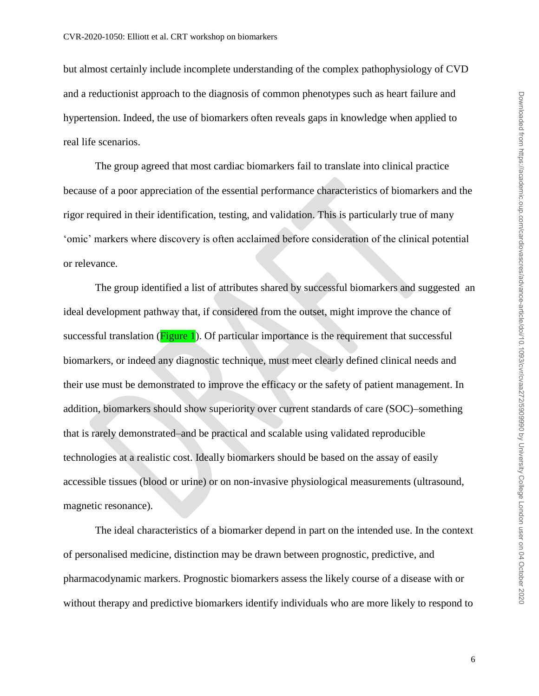but almost certainly include incomplete understanding of the complex pathophysiology of CVD and a reductionist approach to the diagnosis of common phenotypes such as heart failure and hypertension. Indeed, the use of biomarkers often reveals gaps in knowledge when applied to real life scenarios.

The group agreed that most cardiac biomarkers fail to translate into clinical practice because of a poor appreciation of the essential performance characteristics of biomarkers and the rigor required in their identification, testing, and validation. This is particularly true of many 'omic' markers where discovery is often acclaimed before consideration of the clinical potential or relevance.

The group identified a list of attributes shared by successful biomarkers and suggested an ideal development pathway that, if considered from the outset, might improve the chance of successful translation ( $Figure 1$ ). Of particular importance is the requirement that successful biomarkers, or indeed any diagnostic technique, must meet clearly defined clinical needs and their use must be demonstrated to improve the efficacy or the safety of patient management. In addition, biomarkers should show superiority over current standards of care (SOC)–something that is rarely demonstrated–and be practical and scalable using validated reproducible technologies at a realistic cost. Ideally biomarkers should be based on the assay of easily accessible tissues (blood or urine) or on non-invasive physiological measurements (ultrasound, magnetic resonance).

The ideal characteristics of a biomarker depend in part on the intended use. In the context of personalised medicine, distinction may be drawn between prognostic, predictive, and pharmacodynamic markers. Prognostic biomarkers assess the likely course of a disease with or without therapy and predictive biomarkers identify individuals who are more likely to respond to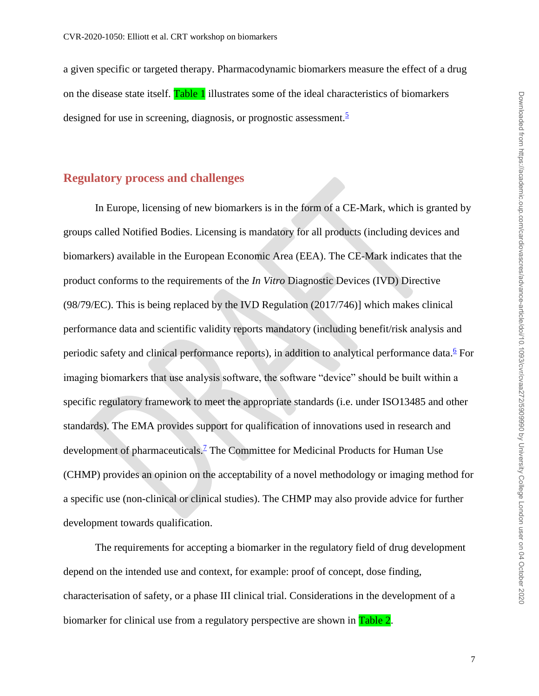a given specific or targeted therapy. Pharmacodynamic biomarkers measure the effect of a drug on the disease state itself. Table 1 illustrates some of the ideal characteristics of biomarkers designed for use in screening, diagnosis, or prognostic assessment.  $\frac{5}{5}$  $\frac{5}{5}$  $\frac{5}{5}$ 

#### **Regulatory process and challenges**

In Europe, licensing of new biomarkers is in the form of a CE-Mark, which is granted by groups called Notified Bodies. Licensing is mandatory for all products (including devices and biomarkers) available in the European Economic Area (EEA). The CE-Mark indicates that the product conforms to the requirements of the *In Vitro* Diagnostic Devices (IVD) Directive (98/79/EC). This is being replaced by the IVD Regulation (2017/746)] which makes clinical performance data and scientific validity reports mandatory (including benefit/risk analysis and periodic safety and clinical performance reports), in addition to analytical performance data.<sup>[6](#page-19-5)</sup> For imaging biomarkers that use analysis software, the software "device" should be built within a specific regulatory framework to meet the appropriate standards (i.e. under ISO13485 and other standards). The EMA provides support for qualification of innovations used in research and development of pharmaceuticals.<sup>[7](#page-19-6)</sup> The Committee for Medicinal Products for Human Use (CHMP) provides an opinion on the acceptability of a novel methodology or imaging method for a specific use (non-clinical or clinical studies). The CHMP may also provide advice for further development towards qualification.

The requirements for accepting a biomarker in the regulatory field of drug development depend on the intended use and context, for example: proof of concept, dose finding, characterisation of safety, or a phase III clinical trial. Considerations in the development of a biomarker for clinical use from a regulatory perspective are shown in Table 2.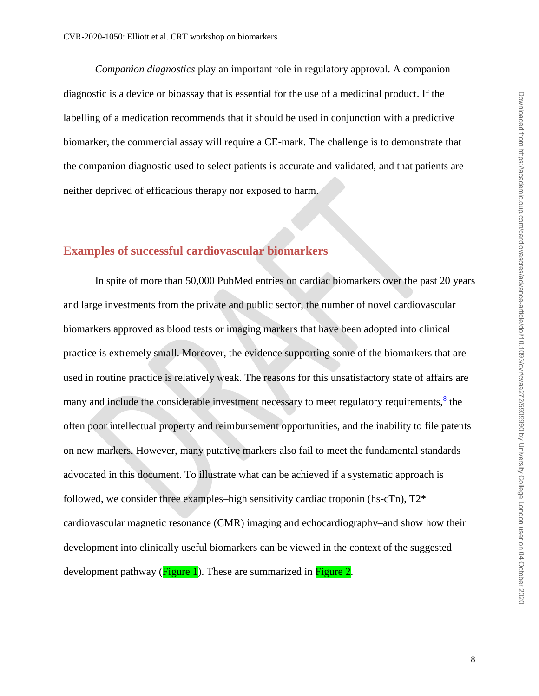*Companion diagnostics* play an important role in regulatory approval. A companion diagnostic is a device or bioassay that is essential for the use of a medicinal product. If the labelling of a medication recommends that it should be used in conjunction with a predictive biomarker, the commercial assay will require a CE-mark. The challenge is to demonstrate that the companion diagnostic used to select patients is accurate and validated, and that patients are neither deprived of efficacious therapy nor exposed to harm.

# **Examples of successful cardiovascular biomarkers**

In spite of more than 50,000 PubMed entries on cardiac biomarkers over the past 20 years and large investments from the private and public sector, the number of novel cardiovascular biomarkers approved as blood tests or imaging markers that have been adopted into clinical practice is extremely small. Moreover, the evidence supporting some of the biomarkers that are used in routine practice is relatively weak. The reasons for this unsatisfactory state of affairs are many and include the considerable investment necessary to meet regulatory requirements,  $\frac{8}{5}$  $\frac{8}{5}$  $\frac{8}{5}$  the often poor intellectual property and reimbursement opportunities, and the inability to file patents on new markers. However, many putative markers also fail to meet the fundamental standards advocated in this document. To illustrate what can be achieved if a systematic approach is followed, we consider three examples–high sensitivity cardiac troponin (hs-cTn), T2\* cardiovascular magnetic resonance (CMR) imaging and echocardiography–and show how their development into clinically useful biomarkers can be viewed in the context of the suggested development pathway ( $Figure 1$ ). These are summarized in Figure 2.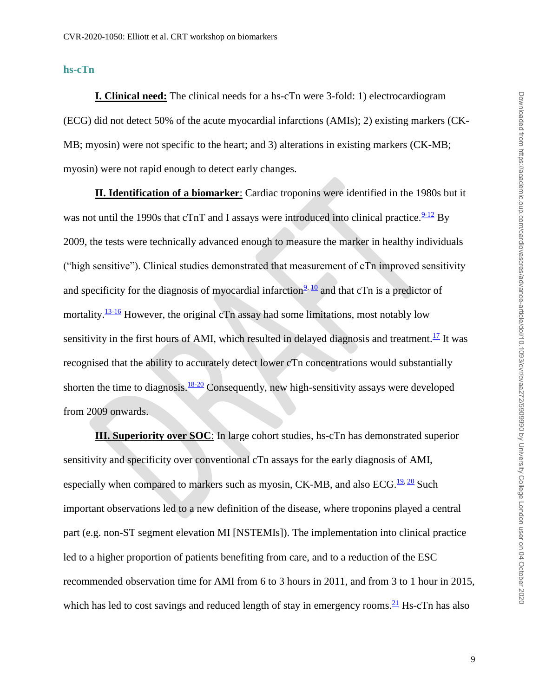**hs-cTn**

**I. Clinical need:** The clinical needs for a hs-cTn were 3-fold: 1) electrocardiogram (ECG) did not detect 50% of the acute myocardial infarctions (AMIs); 2) existing markers (CK-MB; myosin) were not specific to the heart; and 3) alterations in existing markers (CK-MB; myosin) were not rapid enough to detect early changes.

**II. Identification of a biomarker**: Cardiac troponins were identified in the 1980s but it was not until the 1990s that cTnT and I assays were introduced into clinical practice. $\frac{9-12}{9}$  $\frac{9-12}{9}$  $\frac{9-12}{9}$  By 2009, the tests were technically advanced enough to measure the marker in healthy individuals ("high sensitive"). Clinical studies demonstrated that measurement of cTn improved sensitivity and specificity for the diagnosis of myocardial infarction<sup>[9,](#page-19-8) [10](#page-19-9)</sup> and that cTn is a predictor of mortality. $\frac{13-16}{9}$  $\frac{13-16}{9}$  $\frac{13-16}{9}$  However, the original cTn assay had some limitations, most notably low sensitivity in the first hours of AMI, which resulted in delayed diagnosis and treatment.<sup>[17](#page-20-0)</sup> It was recognised that the ability to accurately detect lower cTn concentrations would substantially shorten the time to diagnosis.<sup>[18-20](#page-20-1)</sup> Consequently, new high-sensitivity assays were developed from 2009 onwards.

**III. Superiority over SOC**: In large cohort studies, hs-cTn has demonstrated superior sensitivity and specificity over conventional cTn assays for the early diagnosis of AMI, especially when compared to markers such as myosin, CK-MB, and also ECG.<sup>[19,](#page-20-2) [20](#page-20-3)</sup> Such important observations led to a new definition of the disease, where troponins played a central part (e.g. non-ST segment elevation MI [NSTEMIs]). The implementation into clinical practice led to a higher proportion of patients benefiting from care, and to a reduction of the ESC recommended observation time for AMI from 6 to 3 hours in 2011, and from 3 to 1 hour in 2015, which has led to cost savings and reduced length of stay in emergency rooms.  $\frac{21}{2}$  $\frac{21}{2}$  $\frac{21}{2}$  Hs-cTn has also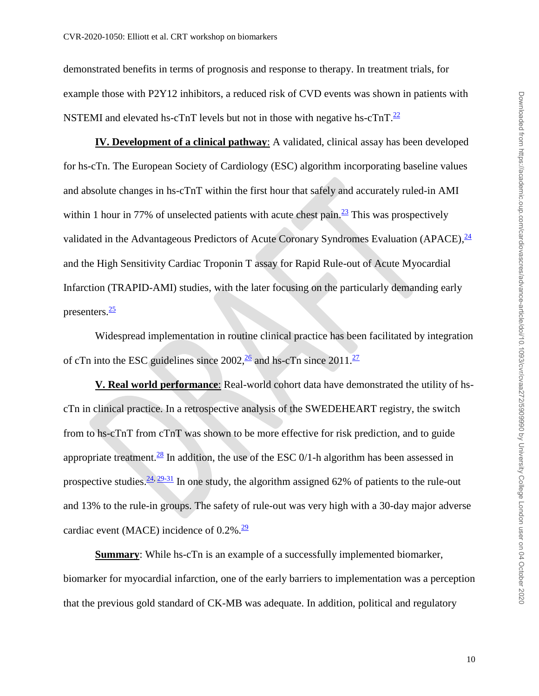demonstrated benefits in terms of prognosis and response to therapy. In treatment trials, for example those with P2Y12 inhibitors, a reduced risk of CVD events was shown in patients with NSTEMI and elevated hs-cTnT levels but not in those with negative hs-cTnT. $^{22}$  $^{22}$  $^{22}$ 

**IV. Development of a clinical pathway**: A validated, clinical assay has been developed for hs-cTn. The European Society of Cardiology (ESC) algorithm incorporating baseline values and absolute changes in hs-cTnT within the first hour that safely and accurately ruled-in AMI within 1 hour in 77% of unselected patients with acute chest pain. $\frac{23}{7}$  $\frac{23}{7}$  $\frac{23}{7}$  This was prospectively validated in the Advantageous Predictors of Acute Coronary Syndromes Evaluation (APACE), <sup>[24](#page-20-7)</sup> and the High Sensitivity Cardiac Troponin T assay for Rapid Rule-out of Acute Myocardial Infarction (TRAPID-AMI) studies, with the later focusing on the particularly demanding early presenters.<sup>[25](#page-21-0)</sup>

Widespread implementation in routine clinical practice has been facilitated by integration of cTn into the ESC guidelines since  $2002\frac{26}{3}$  $2002\frac{26}{3}$  $2002\frac{26}{3}$  and hs-cTn since  $2011\frac{27}{3}$  $2011\frac{27}{3}$  $2011\frac{27}{3}$ 

**V. Real world performance**: Real-world cohort data have demonstrated the utility of hscTn in clinical practice. In a retrospective analysis of the SWEDEHEART registry, the switch from to hs-cTnT from cTnT was shown to be more effective for risk prediction, and to guide appropriate treatment.<sup>[28](#page-21-3)</sup> In addition, the use of the ESC  $0/1$ -h algorithm has been assessed in prospective studies.  $\frac{24}{29-31}$  In one study, the algorithm assigned 62% of patients to the rule-out and 13% to the rule-in groups. The safety of rule-out was very high with a 30-day major adverse cardiac event (MACE) incidence of  $0.2\%$ .<sup>[29](#page-21-4)</sup>

**Summary**: While hs-cTn is an example of a successfully implemented biomarker, biomarker for myocardial infarction, one of the early barriers to implementation was a perception that the previous gold standard of CK-MB was adequate. In addition, political and regulatory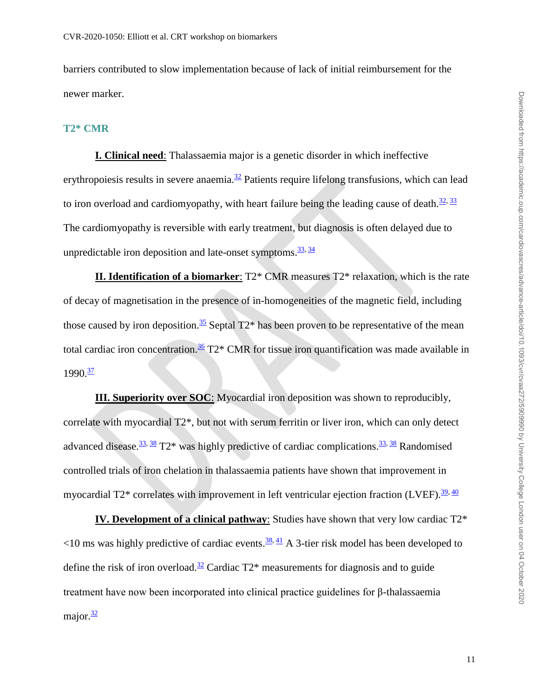barriers contributed to slow implementation because of lack of initial reimbursement for the newer marker.

#### **T2\* CMR**

**I. Clinical need**: Thalassaemia major is a genetic disorder in which ineffective erythropoiesis results in severe anaemia. $\frac{32}{2}$  $\frac{32}{2}$  $\frac{32}{2}$  Patients require lifelong transfusions, which can lead to iron overload and cardiomyopathy, with heart failure being the leading cause of death.<sup>[32,](#page-21-5) [33](#page-21-6)</sup> The cardiomyopathy is reversible with early treatment, but diagnosis is often delayed due to unpredictable iron deposition and late-onset symptoms.  $\frac{33}{34}$ 

**II. Identification of a biomarker**: T2\* CMR measures T2\* relaxation, which is the rate of decay of magnetisation in the presence of in-homogeneities of the magnetic field, including those caused by iron deposition.<sup>[35](#page-22-1)</sup> Septal  $T2^*$  has been proven to be representative of the mean total cardiac iron concentration.<sup>[36](#page-22-2)</sup> T2<sup>\*</sup> CMR for tissue iron quantification was made available in  $1990 \frac{37}{1}$  $1990 \frac{37}{1}$  $1990 \frac{37}{1}$ 

**III. Superiority over SOC**: Myocardial iron deposition was shown to reproducibly, correlate with myocardial T2\*, but not with serum ferritin or liver iron, which can only detect advanced disease.<sup>[33,](#page-21-6) [38](#page-22-4)</sup> T2\* was highly predictive of cardiac complications.<sup>33, 38</sup> Randomised controlled trials of iron chelation in thalassaemia patients have shown that improvement in myocardial T2\* correlates with improvement in left ventricular ejection fraction (LVEF).<sup>[39,](#page-22-5) [40](#page-22-6)</sup>

**IV. Development of a clinical pathway**: Studies have shown that very low cardiac T2\*  $\leq$ 10 ms was highly predictive of cardiac events.  $\frac{38}{11}$  A 3-tier risk model has been developed to define the risk of iron overload.<sup>[32](#page-21-5)</sup> Cardiac  $T2^*$  measurements for diagnosis and to guide treatment have now been incorporated into clinical practice guidelines for β-thalassaemia major. $\frac{32}{2}$  $\frac{32}{2}$  $\frac{32}{2}$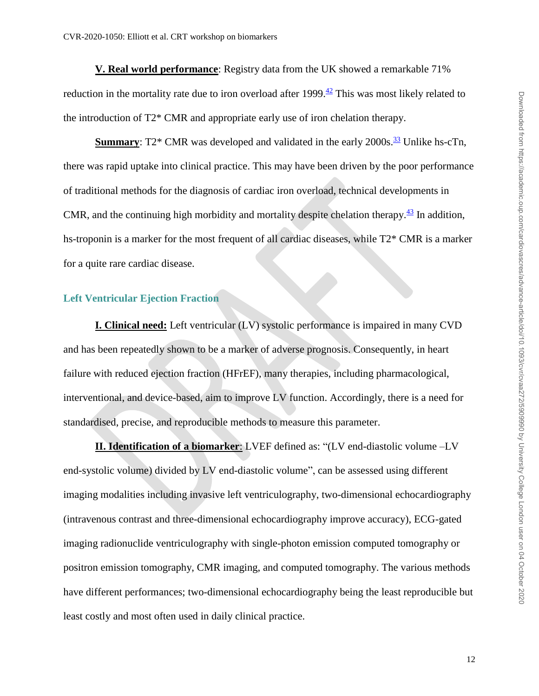**V. Real world performance**: Registry data from the UK showed a remarkable 71% reduction in the mortality rate due to iron overload after 1999. $\frac{42}{1}$  $\frac{42}{1}$  $\frac{42}{1}$  This was most likely related to the introduction of T2\* CMR and appropriate early use of iron chelation therapy.

**Summary**:  $T2^*$  CMR was developed and validated in the early  $2000s.\frac{33}{2}$  $2000s.\frac{33}{2}$  $2000s.\frac{33}{2}$  Unlike hs-cTn, there was rapid uptake into clinical practice. This may have been driven by the poor performance of traditional methods for the diagnosis of cardiac iron overload, technical developments in CMR, and the continuing high morbidity and mortality despite chelation therapy. $\frac{43}{12}$  $\frac{43}{12}$  $\frac{43}{12}$  In addition, hs-troponin is a marker for the most frequent of all cardiac diseases, while T2\* CMR is a marker for a quite rare cardiac disease.

#### **Left Ventricular Ejection Fraction**

**I. Clinical need:** Left ventricular (LV) systolic performance is impaired in many CVD and has been repeatedly shown to be a marker of adverse prognosis. Consequently, in heart failure with reduced ejection fraction (HFrEF), many therapies, including pharmacological, interventional, and device-based, aim to improve LV function. Accordingly, there is a need for standardised, precise, and reproducible methods to measure this parameter.

**II. Identification of a biomarker**: LVEF defined as: "(LV end-diastolic volume –LV end-systolic volume) divided by LV end-diastolic volume", can be assessed using different imaging modalities including invasive left ventriculography, two-dimensional echocardiography (intravenous contrast and three-dimensional echocardiography improve accuracy), ECG-gated imaging radionuclide ventriculography with single-photon emission computed tomography or positron emission tomography, CMR imaging, and computed tomography. The various methods have different performances; two-dimensional echocardiography being the least reproducible but least costly and most often used in daily clinical practice.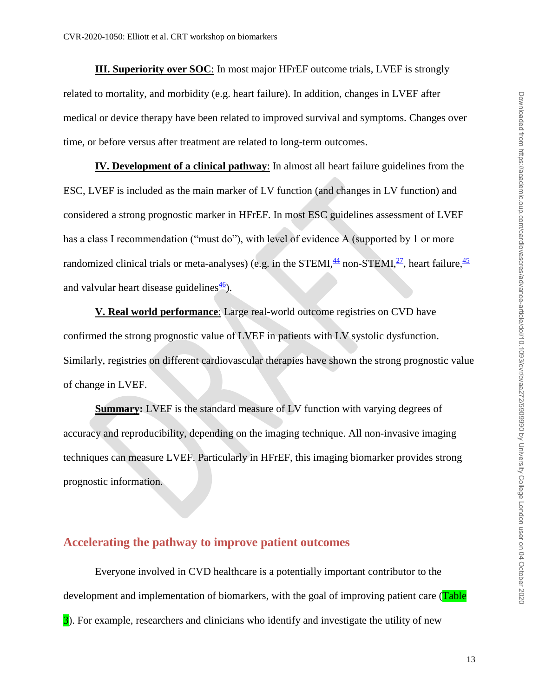**III. Superiority over SOC**: In most major HFrEF outcome trials, LVEF is strongly related to mortality, and morbidity (e.g. heart failure). In addition, changes in LVEF after medical or device therapy have been related to improved survival and symptoms. Changes over time, or before versus after treatment are related to long-term outcomes.

**IV. Development of a clinical pathway**: In almost all heart failure guidelines from the ESC, LVEF is included as the main marker of LV function (and changes in LV function) and considered a strong prognostic marker in HFrEF. In most ESC guidelines assessment of LVEF has a class I recommendation ("must do"), with level of evidence A (supported by 1 or more randomized clinical trials or meta-analyses) (e.g. in the STEMI, $\frac{44}{3}$  $\frac{44}{3}$  $\frac{44}{3}$  non-STEMI, $\frac{27}{3}$  $\frac{27}{3}$  $\frac{27}{3}$ , heart failure,  $\frac{45}{3}$  $\frac{45}{3}$  $\frac{45}{3}$ and valvular heart disease guidelines $\frac{46}{2}$  $\frac{46}{2}$  $\frac{46}{2}$ .

**V. Real world performance**: Large real-world outcome registries on CVD have confirmed the strong prognostic value of LVEF in patients with LV systolic dysfunction. Similarly, registries on different cardiovascular therapies have shown the strong prognostic value of change in LVEF.

**Summary:** LVEF is the standard measure of LV function with varying degrees of accuracy and reproducibility, depending on the imaging technique. All non-invasive imaging techniques can measure LVEF. Particularly in HFrEF, this imaging biomarker provides strong prognostic information.

## **Accelerating the pathway to improve patient outcomes**

Everyone involved in CVD healthcare is a potentially important contributor to the development and implementation of biomarkers, with the goal of improving patient care (Table 3). For example, researchers and clinicians who identify and investigate the utility of new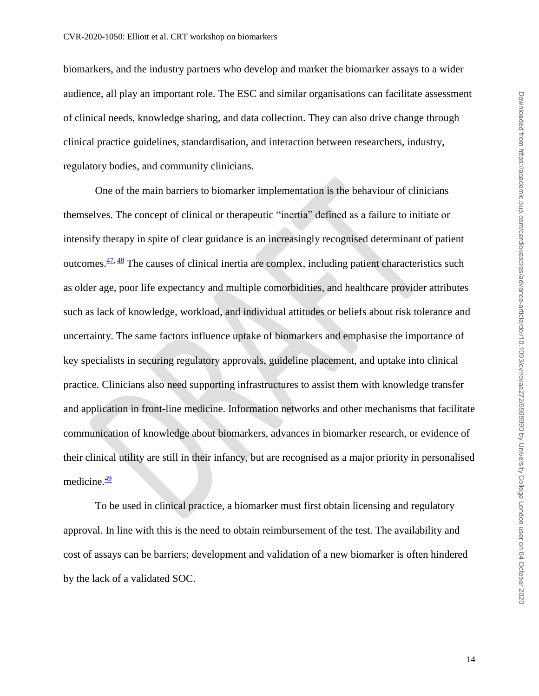biomarkers, and the industry partners who develop and market the biomarker assays to a wider audience, all play an important role. The ESC and similar organisations can facilitate assessment of clinical needs, knowledge sharing, and data collection. They can also drive change through clinical practice guidelines, standardisation, and interaction between researchers, industry, regulatory bodies, and community clinicians.

One of the main barriers to biomarker implementation is the behaviour of clinicians themselves. The concept of clinical or therapeutic "inertia" defined as a failure to initiate or intensify therapy in spite of clear guidance is an increasingly recognised determinant of patient outcomes. $\frac{47}{3}$  The causes of clinical inertia are complex, including patient characteristics such as older age, poor life expectancy and multiple comorbidities, and healthcare provider attributes such as lack of knowledge, workload, and individual attitudes or beliefs about risk tolerance and uncertainty. The same factors influence uptake of biomarkers and emphasise the importance of key specialists in securing regulatory approvals, guideline placement, and uptake into clinical practice. Clinicians also need supporting infrastructures to assist them with knowledge transfer and application in front-line medicine. Information networks and other mechanisms that facilitate communication of knowledge about biomarkers, advances in biomarker research, or evidence of their clinical utility are still in their infancy, but are recognised as a major priority in personalised medicine. $\frac{49}{2}$  $\frac{49}{2}$  $\frac{49}{2}$ 

To be used in clinical practice, a biomarker must first obtain licensing and regulatory approval. In line with this is the need to obtain reimbursement of the test. The availability and cost of assays can be barriers; development and validation of a new biomarker is often hindered by the lack of a validated SOC.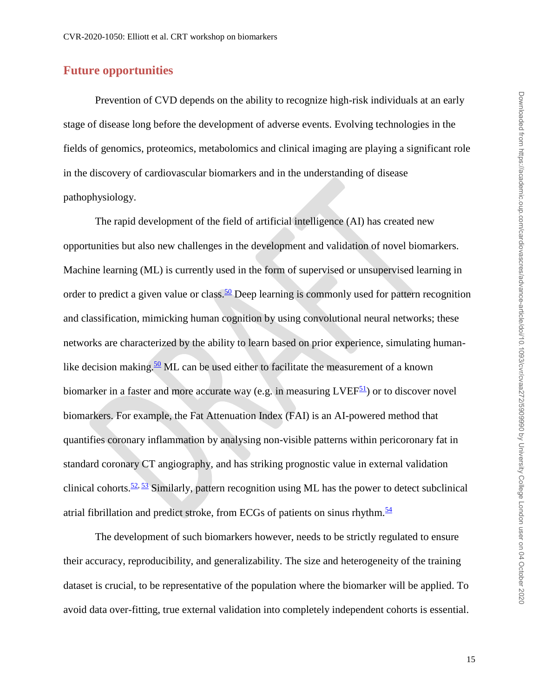# **Future opportunities**

Prevention of CVD depends on the ability to recognize high-risk individuals at an early stage of disease long before the development of adverse events. Evolving technologies in the fields of genomics, proteomics, metabolomics and clinical imaging are playing a significant role in the discovery of cardiovascular biomarkers and in the understanding of disease pathophysiology.

The rapid development of the field of artificial intelligence (AI) has created new opportunities but also new challenges in the development and validation of novel biomarkers. Machine learning (ML) is currently used in the form of supervised or unsupervised learning in order to predict a given value or class.<sup>[50](#page-23-4)</sup> Deep learning is commonly used for pattern recognition and classification, mimicking human cognition by using convolutional neural networks; these networks are characterized by the ability to learn based on prior experience, simulating human-like decision making.<sup>[50](#page-23-4)</sup> ML can be used either to facilitate the measurement of a known biomarker in a faster and more accurate way (e.g. in measuring  $LVEF<sup>51</sup>$  $LVEF<sup>51</sup>$  $LVEF<sup>51</sup>$ ) or to discover novel biomarkers. For example, the Fat Attenuation Index (FAI) is an AI-powered method that quantifies coronary inflammation by analysing non-visible patterns within pericoronary fat in standard coronary CT angiography, and has striking prognostic value in external validation clinical cohorts. $\frac{52}{2}$ ,  $\frac{53}{2}$  Similarly, pattern recognition using ML has the power to detect subclinical atrial fibrillation and predict stroke, from ECGs of patients on sinus rhythm. $\frac{54}{5}$  $\frac{54}{5}$  $\frac{54}{5}$ 

The development of such biomarkers however, needs to be strictly regulated to ensure their accuracy, reproducibility, and generalizability. The size and heterogeneity of the training dataset is crucial, to be representative of the population where the biomarker will be applied. To avoid data over-fitting, true external validation into completely independent cohorts is essential.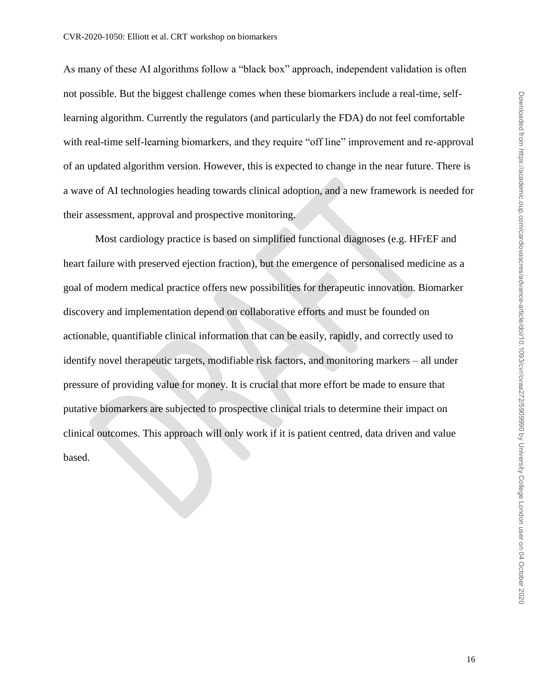As many of these AI algorithms follow a "black box" approach, independent validation is often not possible. But the biggest challenge comes when these biomarkers include a real-time, selflearning algorithm. Currently the regulators (and particularly the FDA) do not feel comfortable with real-time self-learning biomarkers, and they require "off line" improvement and re-approval of an updated algorithm version. However, this is expected to change in the near future. There is a wave of AI technologies heading towards clinical adoption, and a new framework is needed for their assessment, approval and prospective monitoring.

Most cardiology practice is based on simplified functional diagnoses (e.g. HFrEF and heart failure with preserved ejection fraction), but the emergence of personalised medicine as a goal of modern medical practice offers new possibilities for therapeutic innovation. Biomarker discovery and implementation depend on collaborative efforts and must be founded on actionable, quantifiable clinical information that can be easily, rapidly, and correctly used to identify novel therapeutic targets, modifiable risk factors, and monitoring markers – all under pressure of providing value for money. It is crucial that more effort be made to ensure that putative biomarkers are subjected to prospective clinical trials to determine their impact on clinical outcomes. This approach will only work if it is patient centred, data driven and value based.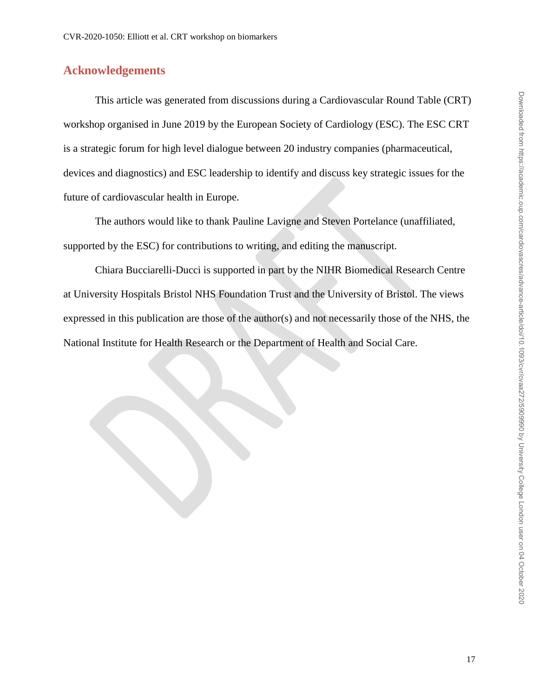# **Acknowledgements**

This article was generated from discussions during a Cardiovascular Round Table (CRT) workshop organised in June 2019 by the European Society of Cardiology (ESC). The ESC CRT is a strategic forum for high level dialogue between 20 industry companies (pharmaceutical, devices and diagnostics) and ESC leadership to identify and discuss key strategic issues for the future of cardiovascular health in Europe.

The authors would like to thank Pauline Lavigne and Steven Portelance (unaffiliated, supported by the ESC) for contributions to writing, and editing the manuscript.

Chiara Bucciarelli-Ducci is supported in part by the NIHR Biomedical Research Centre at University Hospitals Bristol NHS Foundation Trust and the University of Bristol. The views expressed in this publication are those of the author(s) and not necessarily those of the NHS, the National Institute for Health Research or the Department of Health and Social Care.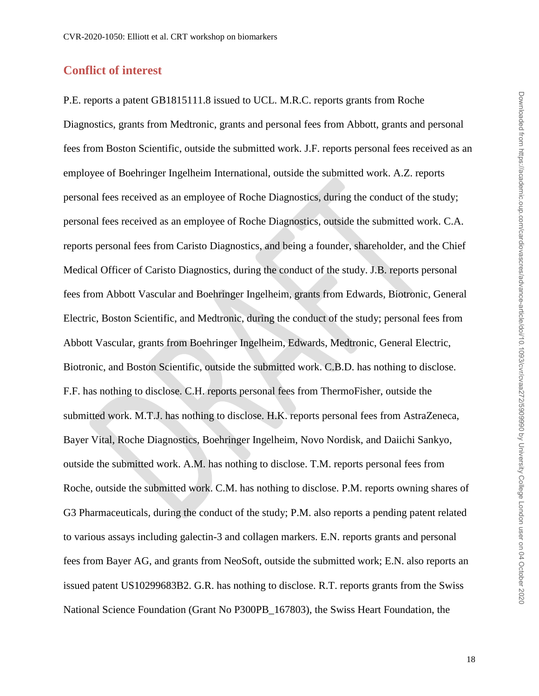# **Conflict of interest**

P.E. reports a patent GB1815111.8 issued to UCL. M.R.C. reports grants from Roche Diagnostics, grants from Medtronic, grants and personal fees from Abbott, grants and personal fees from Boston Scientific, outside the submitted work. J.F. reports personal fees received as an employee of Boehringer Ingelheim International, outside the submitted work. A.Z. reports personal fees received as an employee of Roche Diagnostics, during the conduct of the study; personal fees received as an employee of Roche Diagnostics, outside the submitted work. C.A. reports personal fees from Caristo Diagnostics, and being a founder, shareholder, and the Chief Medical Officer of Caristo Diagnostics, during the conduct of the study. J.B. reports personal fees from Abbott Vascular and Boehringer Ingelheim, grants from Edwards, Biotronic, General Electric, Boston Scientific, and Medtronic, during the conduct of the study; personal fees from Abbott Vascular, grants from Boehringer Ingelheim, Edwards, Medtronic, General Electric, Biotronic, and Boston Scientific, outside the submitted work. C.B.D. has nothing to disclose. F.F. has nothing to disclose. C.H. reports personal fees from ThermoFisher, outside the submitted work. M.T.J. has nothing to disclose. H.K. reports personal fees from AstraZeneca, Bayer Vital, Roche Diagnostics, Boehringer Ingelheim, Novo Nordisk, and Daiichi Sankyo, outside the submitted work. A.M. has nothing to disclose. T.M. reports personal fees from Roche, outside the submitted work. C.M. has nothing to disclose. P.M. reports owning shares of G3 Pharmaceuticals, during the conduct of the study; P.M. also reports a pending patent related to various assays including galectin-3 and collagen markers. E.N. reports grants and personal fees from Bayer AG, and grants from NeoSoft, outside the submitted work; E.N. also reports an issued patent US10299683B2. G.R. has nothing to disclose. R.T. reports grants from the Swiss National Science Foundation (Grant No P300PB\_167803), the Swiss Heart Foundation, the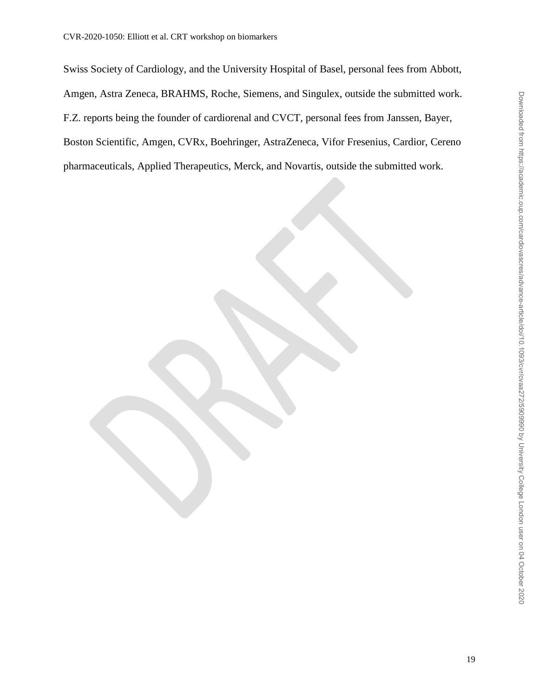Swiss Society of Cardiology, and the University Hospital of Basel, personal fees from Abbott, Amgen, Astra Zeneca, BRAHMS, Roche, Siemens, and Singulex, outside the submitted work. F.Z. reports being the founder of cardiorenal and CVCT, personal fees from Janssen, Bayer, Boston Scientific, Amgen, CVRx, Boehringer, AstraZeneca, Vifor Fresenius, Cardior, Cereno pharmaceuticals, Applied Therapeutics, Merck, and Novartis, outside the submitted work.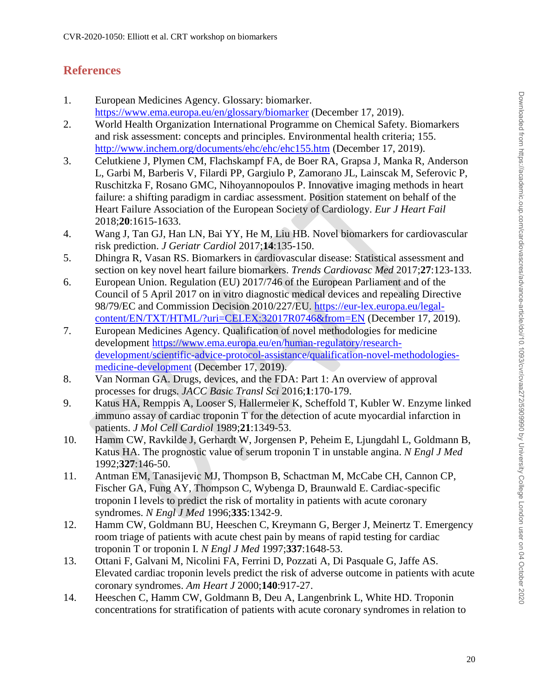# **References**

- <span id="page-19-0"></span>1. European Medicines Agency. Glossary: biomarker. <https://www.ema.europa.eu/en/glossary/biomarker> (December 17, 2019).
- <span id="page-19-1"></span>2. World Health Organization International Programme on Chemical Safety. Biomarkers and risk assessment: concepts and principles. Environmental health criteria; 155. <http://www.inchem.org/documents/ehc/ehc/ehc155.htm> (December 17, 2019).
- <span id="page-19-2"></span>3. Celutkiene J, Plymen CM, Flachskampf FA, de Boer RA, Grapsa J, Manka R, Anderson L, Garbi M, Barberis V, Filardi PP, Gargiulo P, Zamorano JL, Lainscak M, Seferovic P, Ruschitzka F, Rosano GMC, Nihoyannopoulos P. Innovative imaging methods in heart failure: a shifting paradigm in cardiac assessment. Position statement on behalf of the Heart Failure Association of the European Society of Cardiology. *Eur J Heart Fail*  2018;**20**:1615-1633.
- <span id="page-19-3"></span>4. Wang J, Tan GJ, Han LN, Bai YY, He M, Liu HB. Novel biomarkers for cardiovascular risk prediction. *J Geriatr Cardiol* 2017;**14**:135-150.
- <span id="page-19-4"></span>5. Dhingra R, Vasan RS. Biomarkers in cardiovascular disease: Statistical assessment and section on key novel heart failure biomarkers. *Trends Cardiovasc Med* 2017;**27**:123-133.
- <span id="page-19-5"></span>6. European Union. Regulation (EU) 2017/746 of the European Parliament and of the Council of 5 April 2017 on in vitro diagnostic medical devices and repealing Directive 98/79/EC and Commission Decision 2010/227/EU. [https://eur-lex.europa.eu/legal](https://eur-lex.europa.eu/legal-content/EN/TXT/HTML/?uri=CELEX:32017R0746&from=EN)[content/EN/TXT/HTML/?uri=CELEX:32017R0746&from=EN](https://eur-lex.europa.eu/legal-content/EN/TXT/HTML/?uri=CELEX:32017R0746&from=EN) (December 17, 2019).
- <span id="page-19-6"></span>7. European Medicines Agency. Qualification of novel methodologies for medicine development [https://www.ema.europa.eu/en/human-regulatory/research](https://www.ema.europa.eu/en/human-regulatory/research-development/scientific-advice-protocol-assistance/qualification-novel-methodologies-medicine-development)[development/scientific-advice-protocol-assistance/qualification-novel-methodologies](https://www.ema.europa.eu/en/human-regulatory/research-development/scientific-advice-protocol-assistance/qualification-novel-methodologies-medicine-development)[medicine-development](https://www.ema.europa.eu/en/human-regulatory/research-development/scientific-advice-protocol-assistance/qualification-novel-methodologies-medicine-development) (December 17, 2019).
- <span id="page-19-7"></span>8. Van Norman GA. Drugs, devices, and the FDA: Part 1: An overview of approval processes for drugs. *JACC Basic Transl Sci* 2016;**1**:170-179.
- <span id="page-19-8"></span>9. Katus HA, Remppis A, Looser S, Hallermeier K, Scheffold T, Kubler W. Enzyme linked immuno assay of cardiac troponin T for the detection of acute myocardial infarction in patients. *J Mol Cell Cardiol* 1989;**21**:1349-53.
- <span id="page-19-9"></span>10. Hamm CW, Ravkilde J, Gerhardt W, Jorgensen P, Peheim E, Ljungdahl L, Goldmann B, Katus HA. The prognostic value of serum troponin T in unstable angina. *N Engl J Med*  1992;**327**:146-50.
- 11. Antman EM, Tanasijevic MJ, Thompson B, Schactman M, McCabe CH, Cannon CP, Fischer GA, Fung AY, Thompson C, Wybenga D, Braunwald E. Cardiac-specific troponin I levels to predict the risk of mortality in patients with acute coronary syndromes. *N Engl J Med* 1996;**335**:1342-9.
- 12. Hamm CW, Goldmann BU, Heeschen C, Kreymann G, Berger J, Meinertz T. Emergency room triage of patients with acute chest pain by means of rapid testing for cardiac troponin T or troponin I. *N Engl J Med* 1997;**337**:1648-53.
- <span id="page-19-10"></span>13. Ottani F, Galvani M, Nicolini FA, Ferrini D, Pozzati A, Di Pasquale G, Jaffe AS. Elevated cardiac troponin levels predict the risk of adverse outcome in patients with acute coronary syndromes. *Am Heart J* 2000;**140**:917-27.
- 14. Heeschen C, Hamm CW, Goldmann B, Deu A, Langenbrink L, White HD. Troponin concentrations for stratification of patients with acute coronary syndromes in relation to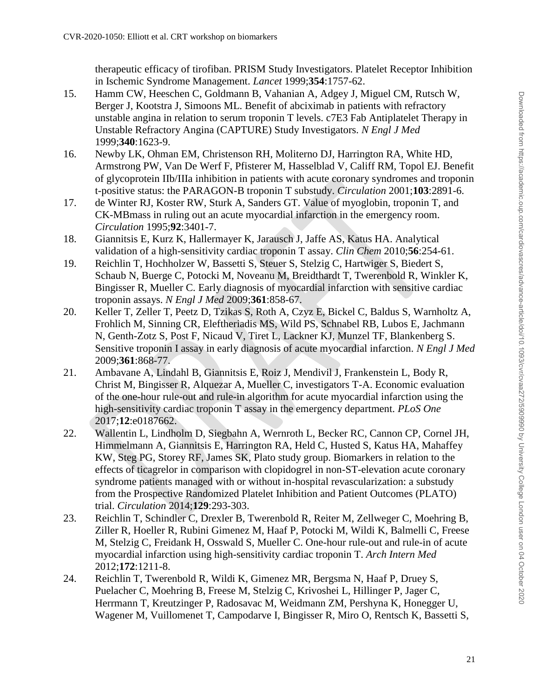therapeutic efficacy of tirofiban. PRISM Study Investigators. Platelet Receptor Inhibition in Ischemic Syndrome Management. *Lancet* 1999;**354**:1757-62.

- 15. Hamm CW, Heeschen C, Goldmann B, Vahanian A, Adgey J, Miguel CM, Rutsch W, Berger J, Kootstra J, Simoons ML. Benefit of abciximab in patients with refractory unstable angina in relation to serum troponin T levels. c7E3 Fab Antiplatelet Therapy in Unstable Refractory Angina (CAPTURE) Study Investigators. *N Engl J Med*  1999;**340**:1623-9.
- 16. Newby LK, Ohman EM, Christenson RH, Moliterno DJ, Harrington RA, White HD, Armstrong PW, Van De Werf F, Pfisterer M, Hasselblad V, Califf RM, Topol EJ. Benefit of glycoprotein IIb/IIIa inhibition in patients with acute coronary syndromes and troponin t-positive status: the PARAGON-B troponin T substudy. *Circulation* 2001;**103**:2891-6.
- <span id="page-20-0"></span>17. de Winter RJ, Koster RW, Sturk A, Sanders GT. Value of myoglobin, troponin T, and CK-MBmass in ruling out an acute myocardial infarction in the emergency room. *Circulation* 1995;**92**:3401-7.
- <span id="page-20-1"></span>18. Giannitsis E, Kurz K, Hallermayer K, Jarausch J, Jaffe AS, Katus HA. Analytical validation of a high-sensitivity cardiac troponin T assay. *Clin Chem* 2010;**56**:254-61.
- <span id="page-20-2"></span>19. Reichlin T, Hochholzer W, Bassetti S, Steuer S, Stelzig C, Hartwiger S, Biedert S, Schaub N, Buerge C, Potocki M, Noveanu M, Breidthardt T, Twerenbold R, Winkler K, Bingisser R, Mueller C. Early diagnosis of myocardial infarction with sensitive cardiac troponin assays. *N Engl J Med* 2009;**361**:858-67.
- <span id="page-20-3"></span>20. Keller T, Zeller T, Peetz D, Tzikas S, Roth A, Czyz E, Bickel C, Baldus S, Warnholtz A, Frohlich M, Sinning CR, Eleftheriadis MS, Wild PS, Schnabel RB, Lubos E, Jachmann N, Genth-Zotz S, Post F, Nicaud V, Tiret L, Lackner KJ, Munzel TF, Blankenberg S. Sensitive troponin I assay in early diagnosis of acute myocardial infarction. *N Engl J Med*  2009;**361**:868-77.
- <span id="page-20-4"></span>21. Ambavane A, Lindahl B, Giannitsis E, Roiz J, Mendivil J, Frankenstein L, Body R, Christ M, Bingisser R, Alquezar A, Mueller C, investigators T-A. Economic evaluation of the one-hour rule-out and rule-in algorithm for acute myocardial infarction using the high-sensitivity cardiac troponin T assay in the emergency department. *PLoS One*  2017;**12**:e0187662.
- <span id="page-20-5"></span>22. Wallentin L, Lindholm D, Siegbahn A, Wernroth L, Becker RC, Cannon CP, Cornel JH, Himmelmann A, Giannitsis E, Harrington RA, Held C, Husted S, Katus HA, Mahaffey KW, Steg PG, Storey RF, James SK, Plato study group. Biomarkers in relation to the effects of ticagrelor in comparison with clopidogrel in non-ST-elevation acute coronary syndrome patients managed with or without in-hospital revascularization: a substudy from the Prospective Randomized Platelet Inhibition and Patient Outcomes (PLATO) trial. *Circulation* 2014;**129**:293-303.
- <span id="page-20-6"></span>23. Reichlin T, Schindler C, Drexler B, Twerenbold R, Reiter M, Zellweger C, Moehring B, Ziller R, Hoeller R, Rubini Gimenez M, Haaf P, Potocki M, Wildi K, Balmelli C, Freese M, Stelzig C, Freidank H, Osswald S, Mueller C. One-hour rule-out and rule-in of acute myocardial infarction using high-sensitivity cardiac troponin T. *Arch Intern Med*  2012;**172**:1211-8.
- <span id="page-20-7"></span>24. Reichlin T, Twerenbold R, Wildi K, Gimenez MR, Bergsma N, Haaf P, Druey S, Puelacher C, Moehring B, Freese M, Stelzig C, Krivoshei L, Hillinger P, Jager C, Herrmann T, Kreutzinger P, Radosavac M, Weidmann ZM, Pershyna K, Honegger U, Wagener M, Vuillomenet T, Campodarve I, Bingisser R, Miro O, Rentsch K, Bassetti S,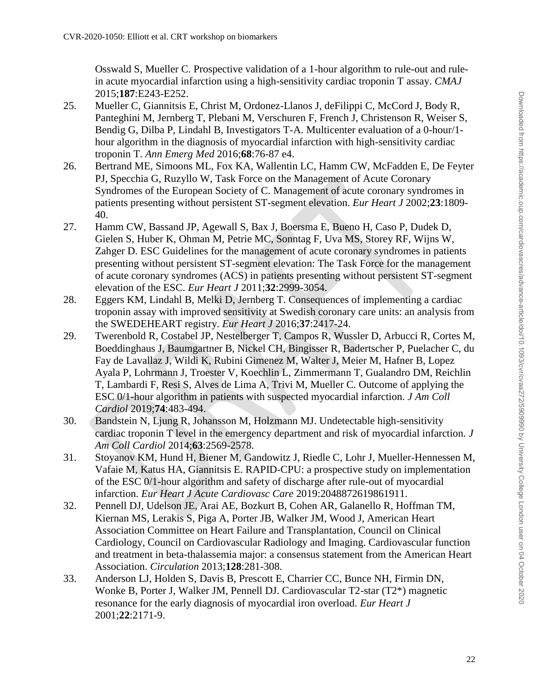Osswald S, Mueller C. Prospective validation of a 1-hour algorithm to rule-out and rulein acute myocardial infarction using a high-sensitivity cardiac troponin T assay. *CMAJ*  2015;**187**:E243-E252.

- <span id="page-21-0"></span>25. Mueller C, Giannitsis E, Christ M, Ordonez-Llanos J, deFilippi C, McCord J, Body R, Panteghini M, Jernberg T, Plebani M, Verschuren F, French J, Christenson R, Weiser S, Bendig G, Dilba P, Lindahl B, Investigators T-A. Multicenter evaluation of a 0-hour/1 hour algorithm in the diagnosis of myocardial infarction with high-sensitivity cardiac troponin T. *Ann Emerg Med* 2016;**68**:76-87 e4.
- <span id="page-21-1"></span>26. Bertrand ME, Simoons ML, Fox KA, Wallentin LC, Hamm CW, McFadden E, De Feyter PJ, Specchia G, Ruzyllo W, Task Force on the Management of Acute Coronary Syndromes of the European Society of C. Management of acute coronary syndromes in patients presenting without persistent ST-segment elevation. *Eur Heart J* 2002;**23**:1809- 40.
- <span id="page-21-2"></span>27. Hamm CW, Bassand JP, Agewall S, Bax J, Boersma E, Bueno H, Caso P, Dudek D, Gielen S, Huber K, Ohman M, Petrie MC, Sonntag F, Uva MS, Storey RF, Wijns W, Zahger D. ESC Guidelines for the management of acute coronary syndromes in patients presenting without persistent ST-segment elevation: The Task Force for the management of acute coronary syndromes (ACS) in patients presenting without persistent ST-segment elevation of the ESC. *Eur Heart J* 2011;**32**:2999-3054.
- <span id="page-21-3"></span>28. Eggers KM, Lindahl B, Melki D, Jernberg T. Consequences of implementing a cardiac troponin assay with improved sensitivity at Swedish coronary care units: an analysis from the SWEDEHEART registry. *Eur Heart J* 2016;**37**:2417-24.
- <span id="page-21-4"></span>29. Twerenbold R, Costabel JP, Nestelberger T, Campos R, Wussler D, Arbucci R, Cortes M, Boeddinghaus J, Baumgartner B, Nickel CH, Bingisser R, Badertscher P, Puelacher C, du Fay de Lavallaz J, Wildi K, Rubini Gimenez M, Walter J, Meier M, Hafner B, Lopez Ayala P, Lohrmann J, Troester V, Koechlin L, Zimmermann T, Gualandro DM, Reichlin T, Lambardi F, Resi S, Alves de Lima A, Trivi M, Mueller C. Outcome of applying the ESC 0/1-hour algorithm in patients with suspected myocardial infarction. *J Am Coll Cardiol* 2019;**74**:483-494.
- 30. Bandstein N, Ljung R, Johansson M, Holzmann MJ. Undetectable high-sensitivity cardiac troponin T level in the emergency department and risk of myocardial infarction. *J Am Coll Cardiol* 2014;**63**:2569-2578.
- 31. Stoyanov KM, Hund H, Biener M, Gandowitz J, Riedle C, Lohr J, Mueller-Hennessen M, Vafaie M, Katus HA, Giannitsis E. RAPID-CPU: a prospective study on implementation of the ESC 0/1-hour algorithm and safety of discharge after rule-out of myocardial infarction. *Eur Heart J Acute Cardiovasc Care* 2019:2048872619861911.
- <span id="page-21-5"></span>32. Pennell DJ, Udelson JE, Arai AE, Bozkurt B, Cohen AR, Galanello R, Hoffman TM, Kiernan MS, Lerakis S, Piga A, Porter JB, Walker JM, Wood J, American Heart Association Committee on Heart Failure and Transplantation, Council on Clinical Cardiology, Council on Cardiovascular Radiology and Imaging. Cardiovascular function and treatment in beta-thalassemia major: a consensus statement from the American Heart Association. *Circulation* 2013;**128**:281-308.
- <span id="page-21-6"></span>33. Anderson LJ, Holden S, Davis B, Prescott E, Charrier CC, Bunce NH, Firmin DN, Wonke B, Porter J, Walker JM, Pennell DJ. Cardiovascular T2-star (T2\*) magnetic resonance for the early diagnosis of myocardial iron overload. *Eur Heart J*  2001;**22**:2171-9.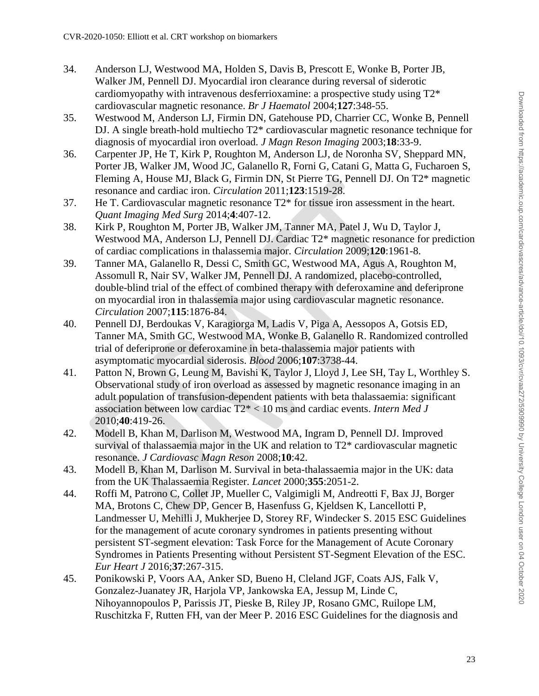- <span id="page-22-0"></span>34. Anderson LJ, Westwood MA, Holden S, Davis B, Prescott E, Wonke B, Porter JB, Walker JM, Pennell DJ. Myocardial iron clearance during reversal of siderotic cardiomyopathy with intravenous desferrioxamine: a prospective study using  $T2^*$ cardiovascular magnetic resonance. *Br J Haematol* 2004;**127**:348-55.
- <span id="page-22-1"></span>35. Westwood M, Anderson LJ, Firmin DN, Gatehouse PD, Charrier CC, Wonke B, Pennell DJ. A single breath-hold multiecho T2\* cardiovascular magnetic resonance technique for diagnosis of myocardial iron overload. *J Magn Reson Imaging* 2003;**18**:33-9.
- <span id="page-22-2"></span>36. Carpenter JP, He T, Kirk P, Roughton M, Anderson LJ, de Noronha SV, Sheppard MN, Porter JB, Walker JM, Wood JC, Galanello R, Forni G, Catani G, Matta G, Fucharoen S, Fleming A, House MJ, Black G, Firmin DN, St Pierre TG, Pennell DJ. On T2\* magnetic resonance and cardiac iron. *Circulation* 2011;**123**:1519-28.
- <span id="page-22-3"></span>37. He T. Cardiovascular magnetic resonance T2\* for tissue iron assessment in the heart. *Quant Imaging Med Surg* 2014;**4**:407-12.
- <span id="page-22-4"></span>38. Kirk P, Roughton M, Porter JB, Walker JM, Tanner MA, Patel J, Wu D, Taylor J, Westwood MA, Anderson LJ, Pennell DJ. Cardiac T2\* magnetic resonance for prediction of cardiac complications in thalassemia major. *Circulation* 2009;**120**:1961-8.
- <span id="page-22-5"></span>39. Tanner MA, Galanello R, Dessi C, Smith GC, Westwood MA, Agus A, Roughton M, Assomull R, Nair SV, Walker JM, Pennell DJ. A randomized, placebo-controlled, double-blind trial of the effect of combined therapy with deferoxamine and deferiprone on myocardial iron in thalassemia major using cardiovascular magnetic resonance. *Circulation* 2007;**115**:1876-84.
- <span id="page-22-6"></span>40. Pennell DJ, Berdoukas V, Karagiorga M, Ladis V, Piga A, Aessopos A, Gotsis ED, Tanner MA, Smith GC, Westwood MA, Wonke B, Galanello R. Randomized controlled trial of deferiprone or deferoxamine in beta-thalassemia major patients with asymptomatic myocardial siderosis. *Blood* 2006;**107**:3738-44.
- <span id="page-22-7"></span>41. Patton N, Brown G, Leung M, Bavishi K, Taylor J, Lloyd J, Lee SH, Tay L, Worthley S. Observational study of iron overload as assessed by magnetic resonance imaging in an adult population of transfusion-dependent patients with beta thalassaemia: significant association between low cardiac T2\* < 10 ms and cardiac events. *Intern Med J*  2010;**40**:419-26.
- <span id="page-22-8"></span>42. Modell B, Khan M, Darlison M, Westwood MA, Ingram D, Pennell DJ. Improved survival of thalassaemia major in the UK and relation to T2\* cardiovascular magnetic resonance. *J Cardiovasc Magn Reson* 2008;**10**:42.
- <span id="page-22-9"></span>43. Modell B, Khan M, Darlison M. Survival in beta-thalassaemia major in the UK: data from the UK Thalassaemia Register. *Lancet* 2000;**355**:2051-2.
- <span id="page-22-10"></span>44. Roffi M, Patrono C, Collet JP, Mueller C, Valgimigli M, Andreotti F, Bax JJ, Borger MA, Brotons C, Chew DP, Gencer B, Hasenfuss G, Kjeldsen K, Lancellotti P, Landmesser U, Mehilli J, Mukherjee D, Storey RF, Windecker S. 2015 ESC Guidelines for the management of acute coronary syndromes in patients presenting without persistent ST-segment elevation: Task Force for the Management of Acute Coronary Syndromes in Patients Presenting without Persistent ST-Segment Elevation of the ESC. *Eur Heart J* 2016;**37**:267-315.
- <span id="page-22-11"></span>45. Ponikowski P, Voors AA, Anker SD, Bueno H, Cleland JGF, Coats AJS, Falk V, Gonzalez-Juanatey JR, Harjola VP, Jankowska EA, Jessup M, Linde C, Nihoyannopoulos P, Parissis JT, Pieske B, Riley JP, Rosano GMC, Ruilope LM, Ruschitzka F, Rutten FH, van der Meer P. 2016 ESC Guidelines for the diagnosis and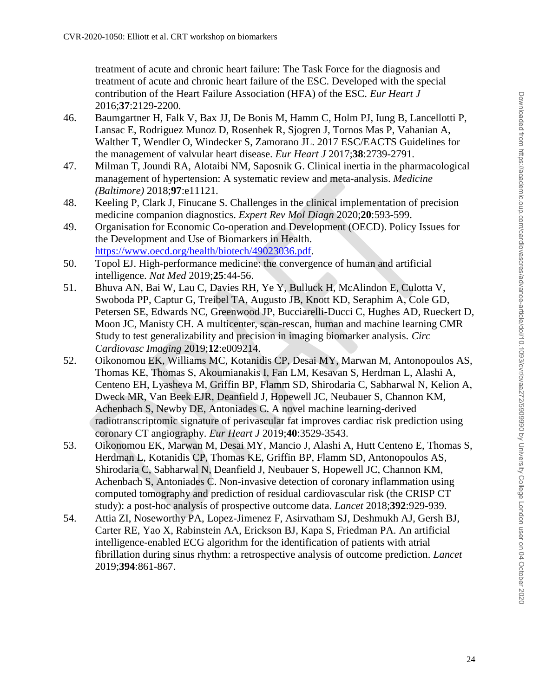treatment of acute and chronic heart failure: The Task Force for the diagnosis and treatment of acute and chronic heart failure of the ESC. Developed with the special contribution of the Heart Failure Association (HFA) of the ESC. *Eur Heart J*  2016;**37**:2129-2200.

- <span id="page-23-0"></span>46. Baumgartner H, Falk V, Bax JJ, De Bonis M, Hamm C, Holm PJ, Iung B, Lancellotti P, Lansac E, Rodriguez Munoz D, Rosenhek R, Sjogren J, Tornos Mas P, Vahanian A, Walther T, Wendler O, Windecker S, Zamorano JL. 2017 ESC/EACTS Guidelines for the management of valvular heart disease. *Eur Heart J* 2017;**38**:2739-2791.
- <span id="page-23-1"></span>47. Milman T, Joundi RA, Alotaibi NM, Saposnik G. Clinical inertia in the pharmacological management of hypertension: A systematic review and meta-analysis. *Medicine (Baltimore)* 2018;**97**:e11121.
- <span id="page-23-2"></span>48. Keeling P, Clark J, Finucane S. Challenges in the clinical implementation of precision medicine companion diagnostics. *Expert Rev Mol Diagn* 2020;**20**:593-599.
- <span id="page-23-3"></span>49. Organisation for Economic Co-operation and Development (OECD). Policy Issues for the Development and Use of Biomarkers in Health. [https://www.oecd.org/health/biotech/49023036.pdf.](https://www.oecd.org/health/biotech/49023036.pdf)
- <span id="page-23-4"></span>50. Topol EJ. High-performance medicine: the convergence of human and artificial intelligence. *Nat Med* 2019;**25**:44-56.
- <span id="page-23-5"></span>51. Bhuva AN, Bai W, Lau C, Davies RH, Ye Y, Bulluck H, McAlindon E, Culotta V, Swoboda PP, Captur G, Treibel TA, Augusto JB, Knott KD, Seraphim A, Cole GD, Petersen SE, Edwards NC, Greenwood JP, Bucciarelli-Ducci C, Hughes AD, Rueckert D, Moon JC, Manisty CH. A multicenter, scan-rescan, human and machine learning CMR Study to test generalizability and precision in imaging biomarker analysis. *Circ Cardiovasc Imaging* 2019;**12**:e009214.
- <span id="page-23-6"></span>52. Oikonomou EK, Williams MC, Kotanidis CP, Desai MY, Marwan M, Antonopoulos AS, Thomas KE, Thomas S, Akoumianakis I, Fan LM, Kesavan S, Herdman L, Alashi A, Centeno EH, Lyasheva M, Griffin BP, Flamm SD, Shirodaria C, Sabharwal N, Kelion A, Dweck MR, Van Beek EJR, Deanfield J, Hopewell JC, Neubauer S, Channon KM, Achenbach S, Newby DE, Antoniades C. A novel machine learning-derived radiotranscriptomic signature of perivascular fat improves cardiac risk prediction using coronary CT angiography. *Eur Heart J* 2019;**40**:3529-3543.
- <span id="page-23-7"></span>53. Oikonomou EK, Marwan M, Desai MY, Mancio J, Alashi A, Hutt Centeno E, Thomas S, Herdman L, Kotanidis CP, Thomas KE, Griffin BP, Flamm SD, Antonopoulos AS, Shirodaria C, Sabharwal N, Deanfield J, Neubauer S, Hopewell JC, Channon KM, Achenbach S, Antoniades C. Non-invasive detection of coronary inflammation using computed tomography and prediction of residual cardiovascular risk (the CRISP CT study): a post-hoc analysis of prospective outcome data. *Lancet* 2018;**392**:929-939.
- <span id="page-23-8"></span>54. Attia ZI, Noseworthy PA, Lopez-Jimenez F, Asirvatham SJ, Deshmukh AJ, Gersh BJ, Carter RE, Yao X, Rabinstein AA, Erickson BJ, Kapa S, Friedman PA. An artificial intelligence-enabled ECG algorithm for the identification of patients with atrial fibrillation during sinus rhythm: a retrospective analysis of outcome prediction. *Lancet*  2019;**394**:861-867.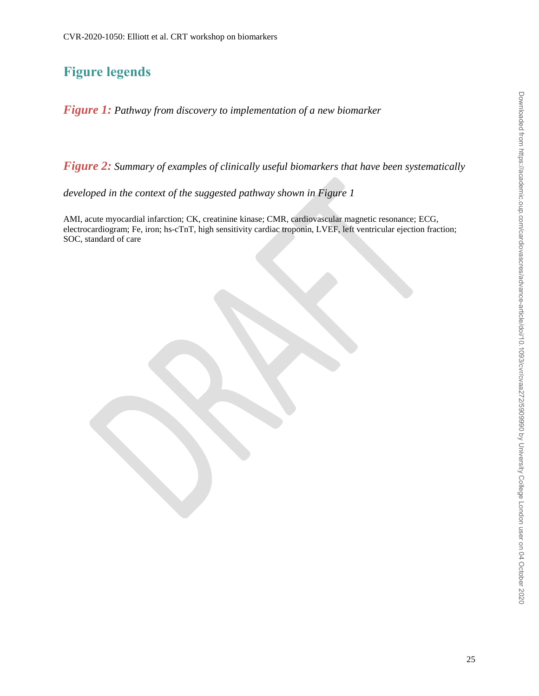# **Figure legends**

*Figure 1: Pathway from discovery to implementation of a new biomarker*

*Figure 2: Summary of examples of clinically useful biomarkers that have been systematically* 

*developed in the context of the suggested pathway shown in Figure 1* 

AMI, acute myocardial infarction; CK, creatinine kinase; CMR, cardiovascular magnetic resonance; ECG, electrocardiogram; Fe, iron; hs-cTnT, high sensitivity cardiac troponin, LVEF, left ventricular ejection fraction; SOC, standard of care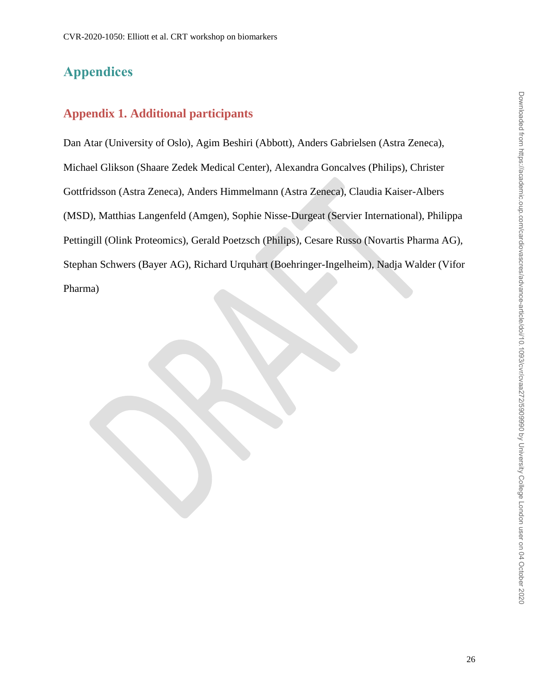# **Appendices**

# **Appendix 1. Additional participants**

Dan Atar (University of Oslo), Agim Beshiri (Abbott), Anders Gabrielsen (Astra Zeneca), Michael Glikson (Shaare Zedek Medical Center), Alexandra Goncalves (Philips), Christer Gottfridsson (Astra Zeneca), Anders Himmelmann (Astra Zeneca), Claudia Kaiser-Albers (MSD), Matthias Langenfeld (Amgen), Sophie Nisse-Durgeat (Servier International), Philippa Pettingill (Olink Proteomics), Gerald Poetzsch (Philips), Cesare Russo (Novartis Pharma AG), Stephan Schwers (Bayer AG), Richard Urquhart (Boehringer-Ingelheim), Nadja Walder (Vifor Pharma)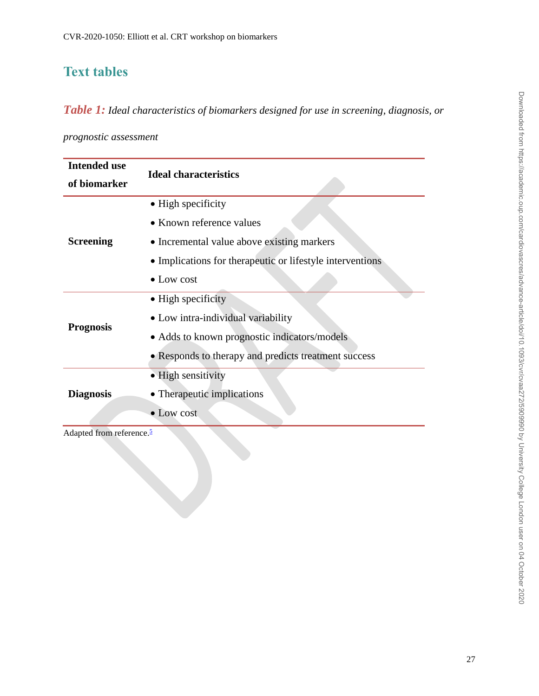# **Text tables**

*Table 1: Ideal characteristics of biomarkers designed for use in screening, diagnosis, or* 

*prognostic assessment*

| <b>Intended use</b>       | <b>Ideal characteristics</b>                              |  |  |
|---------------------------|-----------------------------------------------------------|--|--|
| of biomarker              |                                                           |  |  |
| <b>Screening</b>          | • High specificity                                        |  |  |
|                           | • Known reference values                                  |  |  |
|                           | • Incremental value above existing markers                |  |  |
|                           | • Implications for therapeutic or lifestyle interventions |  |  |
|                           | $\bullet$ Low cost                                        |  |  |
| <b>Prognosis</b>          | $\bullet$ High specificity                                |  |  |
|                           | • Low intra-individual variability                        |  |  |
|                           | • Adds to known prognostic indicators/models              |  |  |
|                           | • Responds to therapy and predicts treatment success      |  |  |
| <b>Diagnosis</b>          | • High sensitivity                                        |  |  |
|                           | • Therapeutic implications                                |  |  |
|                           | • Low cost                                                |  |  |
| $\mathbf{1}$ $\mathbf{c}$ | K.                                                        |  |  |

Adapted from reference.<sup>[5](#page-19-4)</sup>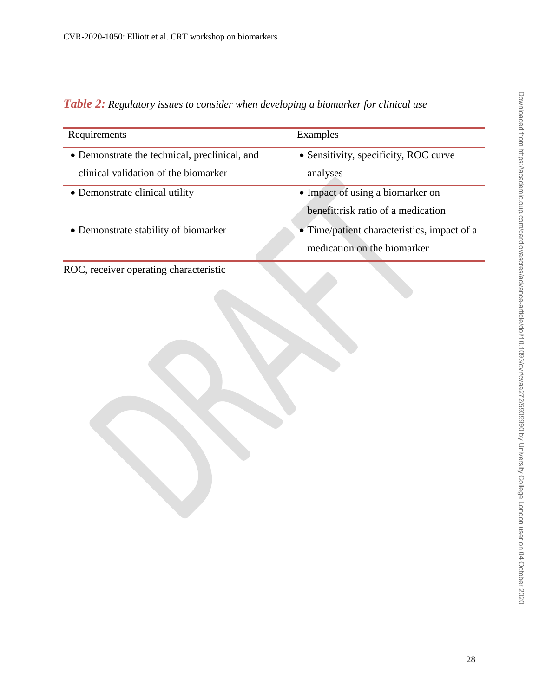| Requirements                                                  | Examples                                    |
|---------------------------------------------------------------|---------------------------------------------|
| • Demonstrate the technical, preclinical, and                 | • Sensitivity, specificity, ROC curve       |
| clinical validation of the biomarker                          | analyses                                    |
| • Demonstrate clinical utility                                | • Impact of using a biomarker on            |
|                                                               | benefit: risk ratio of a medication         |
| • Demonstrate stability of biomarker                          | • Time/patient characteristics, impact of a |
|                                                               | medication on the biomarker                 |
| $\overline{D}\overline{OC}$ receiver eperating eperatoriation |                                             |

*Table 2: Regulatory issues to consider when developing a biomarker for clinical use*

ROC, receiver operating characteristic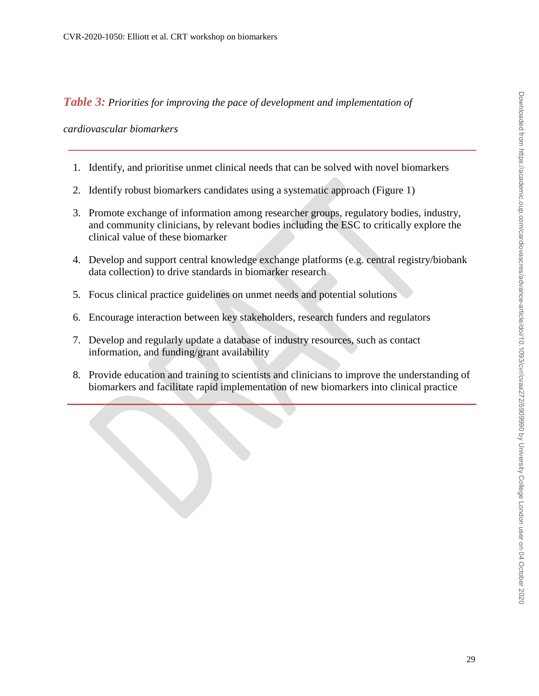*Table 3: Priorities for improving the pace of development and implementation of* 

*cardiovascular biomarkers*

- 1. Identify, and prioritise unmet clinical needs that can be solved with novel biomarkers
- 2. Identify robust biomarkers candidates using a systematic approach (Figure 1)
- 3. Promote exchange of information among researcher groups, regulatory bodies, industry, and community clinicians, by relevant bodies including the ESC to critically explore the clinical value of these biomarker
- 4. Develop and support central knowledge exchange platforms (e.g. central registry/biobank data collection) to drive standards in biomarker research
- 5. Focus clinical practice guidelines on unmet needs and potential solutions
- 6. Encourage interaction between key stakeholders, research funders and regulators
- 7. Develop and regularly update a database of industry resources, such as contact information, and funding/grant availability
- 8. Provide education and training to scientists and clinicians to improve the understanding of biomarkers and facilitate rapid implementation of new biomarkers into clinical practice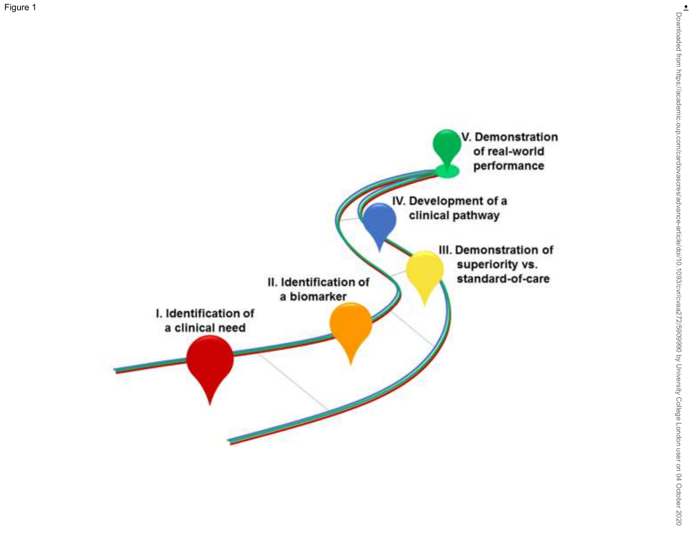